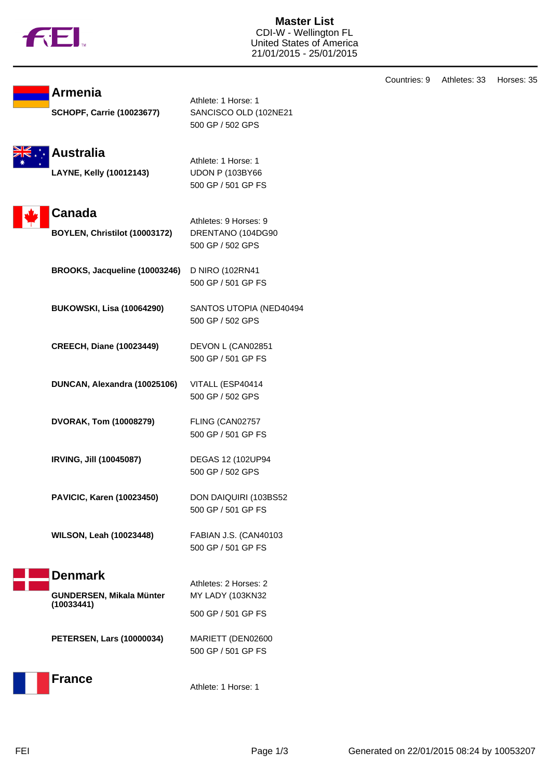

**Armenia**

**Master List** CDI-W - Wellington FL United States of America 21/01/2015 - 25/01/2015

| <b>SCHOPF, Carrie (10023677)</b>               | SANCISCO OLD (102NE21<br>500 GP / 502 GPS                           |
|------------------------------------------------|---------------------------------------------------------------------|
| <b>Australia</b><br>LAYNE, Kelly (10012143)    | Athlete: 1 Horse: 1<br><b>UDON P (103BY66</b><br>500 GP / 501 GP FS |
| <b>Canada</b><br>BOYLEN, Christilot (10003172) | Athletes: 9 Horses: 9<br>DRENTANO (104DG90<br>500 GP / 502 GPS      |
| BROOKS, Jacqueline (10003246)                  | D NIRO (102RN41<br>500 GP / 501 GP FS                               |
| <b>BUKOWSKI, Lisa (10064290)</b>               | SANTOS UTOPIA (NED40494<br>500 GP / 502 GPS                         |
| <b>CREECH, Diane (10023449)</b>                | DEVON L (CAN02851<br>500 GP / 501 GP FS                             |
| DUNCAN, Alexandra (10025106)                   | VITALL (ESP40414<br>500 GP / 502 GPS                                |
| <b>DVORAK, Tom (10008279)</b>                  | FLING (CAN02757<br>500 GP / 501 GP FS                               |
| IRVING, Jill (10045087)                        | DEGAS 12 (102UP94<br>500 GP / 502 GPS                               |
| PAVICIC, Karen (10023450)                      | DON DAIQUIRI (103BS52<br>500 GP / 501 GP FS                         |
| <b>WILSON, Leah (10023448)</b>                 | FABIAN J.S. (CAN40103<br>500 GP / 501 GP FS                         |
| <b>Denmark</b>                                 | Athletes: 2 Horses: 2                                               |
| GUNDERSEN, Mikala Münter<br>(10033441)         | MY LADY (103KN32<br>500 GP / 501 GP FS                              |
| <b>PETERSEN, Lars (10000034)</b>               | MARIETT (DEN02600<br>500 GP / 501 GP FS                             |
| <b>France</b>                                  | Athlete: 1 Horse: 1                                                 |

Athlete: 1 Horse: 1

Countries: 9 Athletes: 33 Horses: 35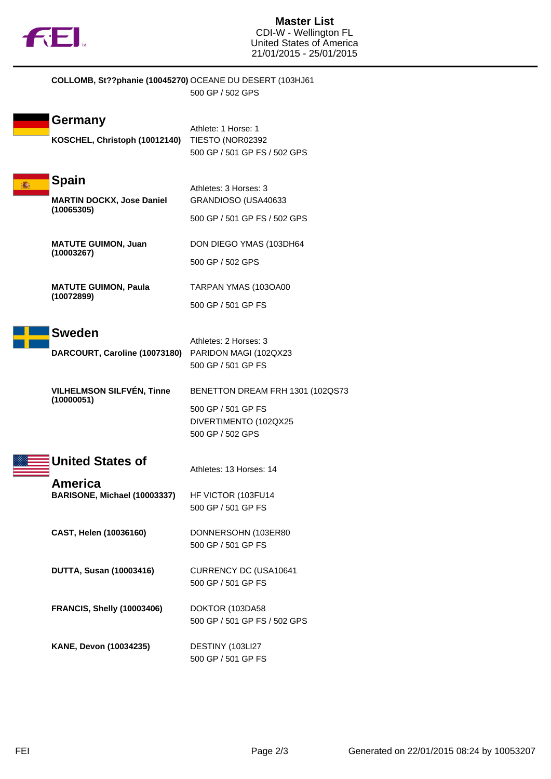

| COLLOMB, St??phanie (10045270) OCEANE DU DESERT (103HJ61       | 500 GP / 502 GPS                                                                                    |
|----------------------------------------------------------------|-----------------------------------------------------------------------------------------------------|
| Germany<br>KOSCHEL, Christoph (10012140) TIESTO (NOR02392      | Athlete: 1 Horse: 1<br>500 GP / 501 GP FS / 502 GPS                                                 |
| <b>Spain</b><br><b>MARTIN DOCKX, Jose Daniel</b><br>(10065305) | Athletes: 3 Horses: 3<br>GRANDIOSO (USA40633<br>500 GP / 501 GP FS / 502 GPS                        |
| <b>MATUTE GUIMON, Juan</b><br>(10003267)                       | DON DIEGO YMAS (103DH64<br>500 GP / 502 GPS                                                         |
| <b>MATUTE GUIMON, Paula</b><br>(10072899)                      | TARPAN YMAS (103OA00<br>500 GP / 501 GP FS                                                          |
| <b>Sweden</b><br>DARCOURT, Caroline (10073180)                 | Athletes: 2 Horses: 3<br>PARIDON MAGI (102QX23<br>500 GP / 501 GP FS                                |
| <b>VILHELMSON SILFVÉN, Tinne</b><br>(10000051)                 | BENETTON DREAM FRH 1301 (102QS73<br>500 GP / 501 GP FS<br>DIVERTIMENTO (102QX25<br>500 GP / 502 GPS |
| <b>United States of</b><br><b>America</b>                      | Athletes: 13 Horses: 14                                                                             |
| BARISONE, Michael (10003337)                                   | HF VICTOR (103FU14<br>500 GP / 501 GP FS                                                            |
| CAST, Helen (10036160)                                         | DONNERSOHN (103ER80<br>500 GP / 501 GP FS                                                           |
| <b>DUTTA, Susan (10003416)</b>                                 | CURRENCY DC (USA10641<br>500 GP / 501 GP FS                                                         |
| <b>FRANCIS, Shelly (10003406)</b>                              | DOKTOR (103DA58<br>500 GP / 501 GP FS / 502 GPS                                                     |
| KANE, Devon (10034235)                                         | DESTINY (103LI27<br>500 GP / 501 GP FS                                                              |